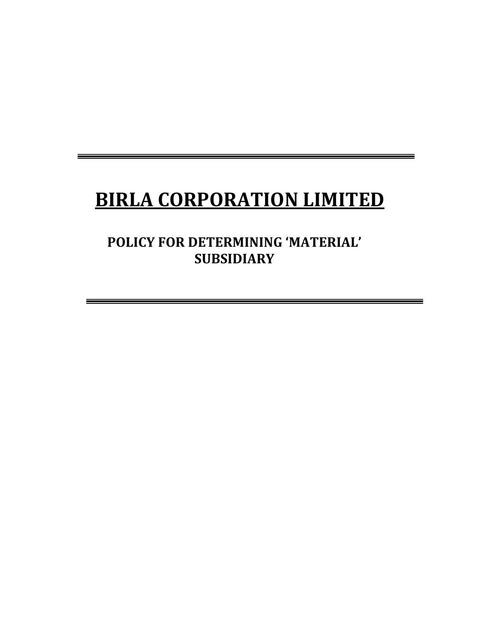# **BIRLA CORPORATION LIMITED**

**POLICY FOR DETERMINING 'MATERIAL' SUBSIDIARY**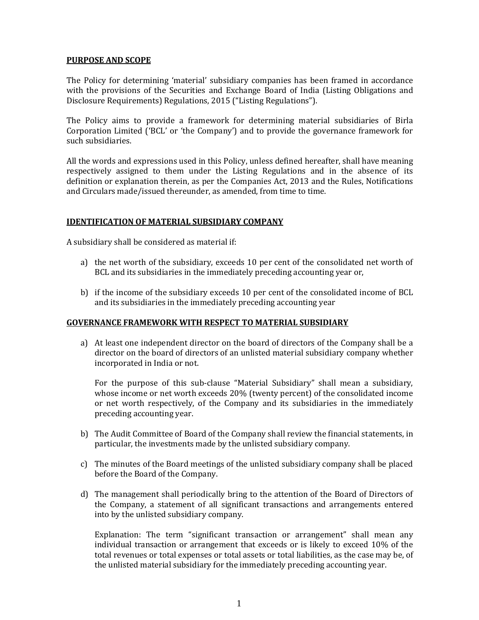#### **PURPOSE AND SCOPE**

The Policy for determining 'material' subsidiary companies has been framed in accordance with the provisions of the Securities and Exchange Board of India (Listing Obligations and Disclosure Requirements) Regulations, 2015 ("Listing Regulations").

The Policy aims to provide a framework for determining material subsidiaries of Birla Corporation Limited ('BCL' or 'the Company') and to provide the governance framework for such subsidiaries.

All the words and expressions used in this Policy, unless defined hereafter, shall have meaning respectively assigned to them under the Listing Regulations and in the absence of its definition or explanation therein, as per the Companies Act, 2013 and the Rules, Notifications and Circulars made/issued thereunder, as amended, from time to time.

## **IDENTIFICATION OF MATERIAL SUBSIDIARY COMPANY**

A subsidiary shall be considered as material if:

- a) the net worth of the subsidiary, exceeds 10 per cent of the consolidated net worth of BCL and its subsidiaries in the immediately preceding accounting year or,
- b) if the income of the subsidiary exceeds 10 per cent of the consolidated income of BCL and its subsidiaries in the immediately preceding accounting year

#### **GOVERNANCE FRAMEWORK WITH RESPECT TO MATERIAL SUBSIDIARY**

a) At least one independent director on the board of directors of the Company shall be a director on the board of directors of an unlisted material subsidiary company whether incorporated in India or not.

For the purpose of this sub-clause "Material Subsidiary" shall mean a subsidiary, whose income or net worth exceeds 20% (twenty percent) of the consolidated income or net worth respectively, of the Company and its subsidiaries in the immediately preceding accounting year.

- b) The Audit Committee of Board of the Company shall review the financial statements, in particular, the investments made by the unlisted subsidiary company.
- c) The minutes of the Board meetings of the unlisted subsidiary company shall be placed before the Board of the Company.
- d) The management shall periodically bring to the attention of the Board of Directors of the Company, a statement of all significant transactions and arrangements entered into by the unlisted subsidiary company.

Explanation: The term "significant transaction or arrangement" shall mean any individual transaction or arrangement that exceeds or is likely to exceed 10% of the total revenues or total expenses or total assets or total liabilities, as the case may be, of the unlisted material subsidiary for the immediately preceding accounting year.